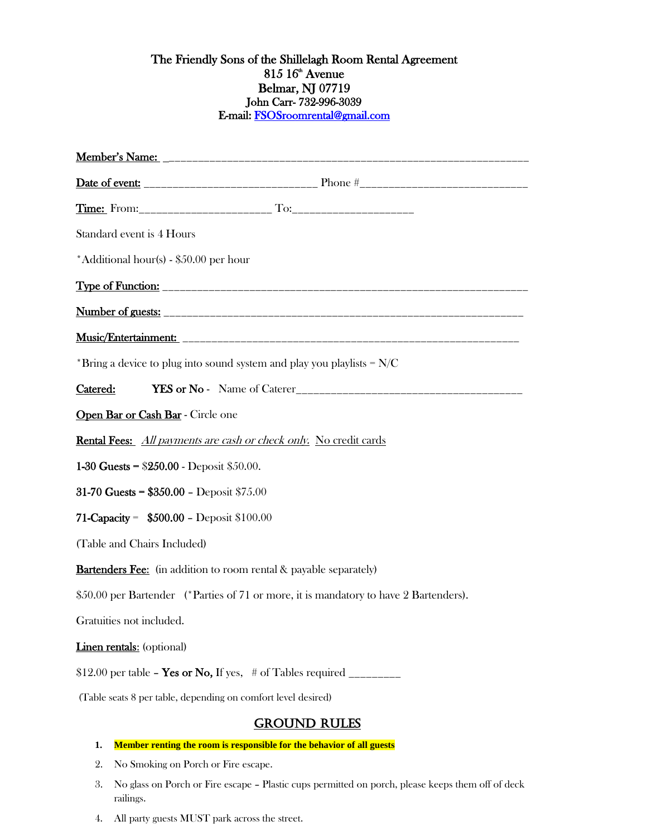## The Friendly Sons of the Shillelagh Room Rental Agreement  $815\ 16^{\text{\tiny th}}$  Avenue Belmar, NJ 07719 John Carr- 732-996-3039 E-mail[: FSOSroomrental@gmail.com](mailto:FSOSroomrental@gmail.com)

| Standard event is 4 Hours                                                |                                                                                       |
|--------------------------------------------------------------------------|---------------------------------------------------------------------------------------|
| *Additional hour(s) - \$50.00 per hour                                   |                                                                                       |
|                                                                          |                                                                                       |
|                                                                          |                                                                                       |
|                                                                          |                                                                                       |
| *Bring a device to plug into sound system and play you playlists = $N/C$ |                                                                                       |
| Catered:                                                                 |                                                                                       |
| Open Bar or Cash Bar - Circle one                                        |                                                                                       |
| <b>Rental Fees:</b> All payments are cash or check only. No credit cards |                                                                                       |
| 1-30 Guests = $$250.00 - Deposit $50.00$ .                               |                                                                                       |
| 31-70 Guests = $$350.00 - Deposit $75.00$                                |                                                                                       |
| 71-Capacity = $$500.00 - Deposit $100.00$                                |                                                                                       |
| (Table and Chairs Included)                                              |                                                                                       |
| <b>Bartenders Fee:</b> (in addition to room rental & payable separately) |                                                                                       |
|                                                                          | \$50.00 per Bartender (*Parties of 71 or more, it is mandatory to have 2 Bartenders). |
| Gratuities not included.                                                 |                                                                                       |
| <b>Linen rentals:</b> (optional)                                         |                                                                                       |
| \$12.00 per table - Yes or No, If yes, $\#$ of Tables required ________  |                                                                                       |
| (Table seats 8 per table, depending on comfort level desired)            |                                                                                       |
|                                                                          | <b>GROUND RULES</b>                                                                   |
| 1.                                                                       | Member renting the room is responsible for the behavior of all guests                 |

- 2. No Smoking on Porch or Fire escape.
- 3. No glass on Porch or Fire escape Plastic cups permitted on porch, please keeps them off of deck railings.
- 4. All party guests MUST park across the street.